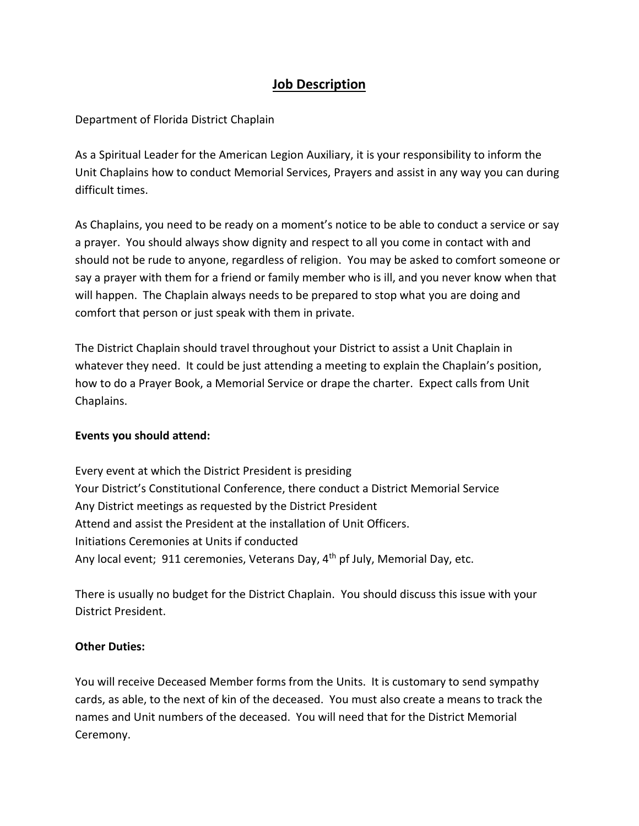## **Job Description**

## Department of Florida District Chaplain

As a Spiritual Leader for the American Legion Auxiliary, it is your responsibility to inform the Unit Chaplains how to conduct Memorial Services, Prayers and assist in any way you can during difficult times.

As Chaplains, you need to be ready on a moment's notice to be able to conduct a service or say a prayer. You should always show dignity and respect to all you come in contact with and should not be rude to anyone, regardless of religion. You may be asked to comfort someone or say a prayer with them for a friend or family member who is ill, and you never know when that will happen. The Chaplain always needs to be prepared to stop what you are doing and comfort that person or just speak with them in private.

The District Chaplain should travel throughout your District to assist a Unit Chaplain in whatever they need. It could be just attending a meeting to explain the Chaplain's position, how to do a Prayer Book, a Memorial Service or drape the charter. Expect calls from Unit Chaplains.

## **Events you should attend:**

Every event at which the District President is presiding Your District's Constitutional Conference, there conduct a District Memorial Service Any District meetings as requested by the District President Attend and assist the President at the installation of Unit Officers. Initiations Ceremonies at Units if conducted Any local event; 911 ceremonies, Veterans Day, 4<sup>th</sup> pf July, Memorial Day, etc.

There is usually no budget for the District Chaplain. You should discuss this issue with your District President.

## **Other Duties:**

You will receive Deceased Member forms from the Units. It is customary to send sympathy cards, as able, to the next of kin of the deceased. You must also create a means to track the names and Unit numbers of the deceased. You will need that for the District Memorial Ceremony.